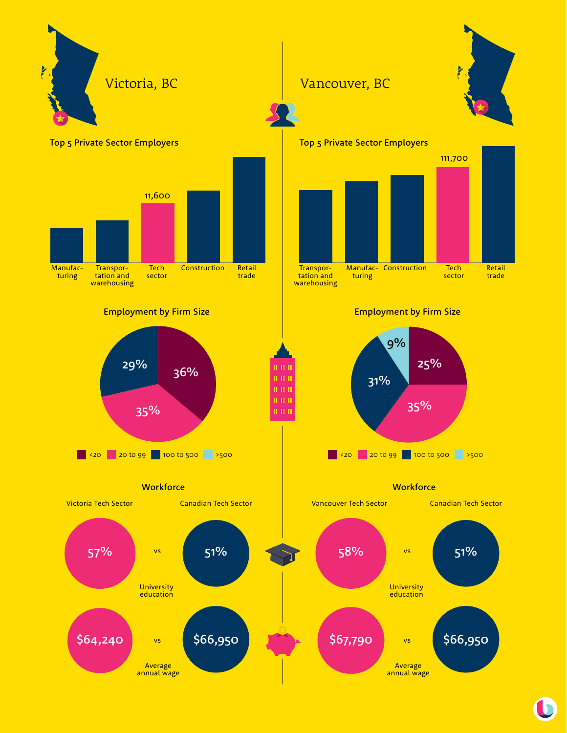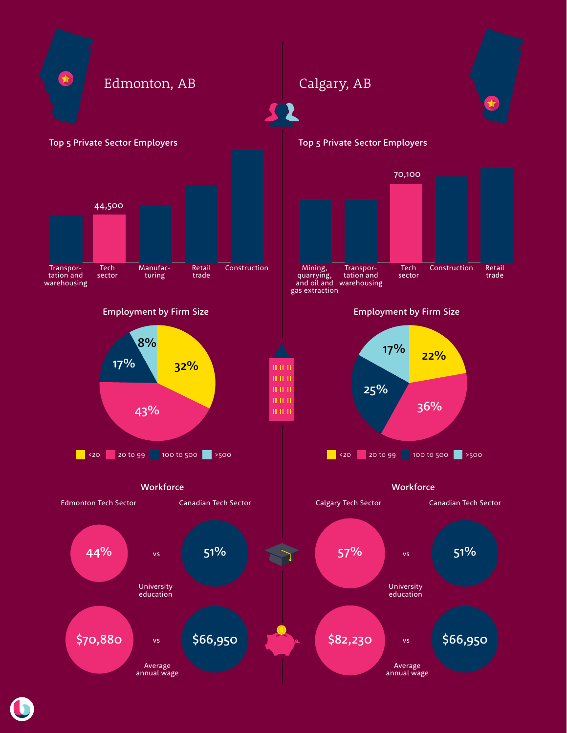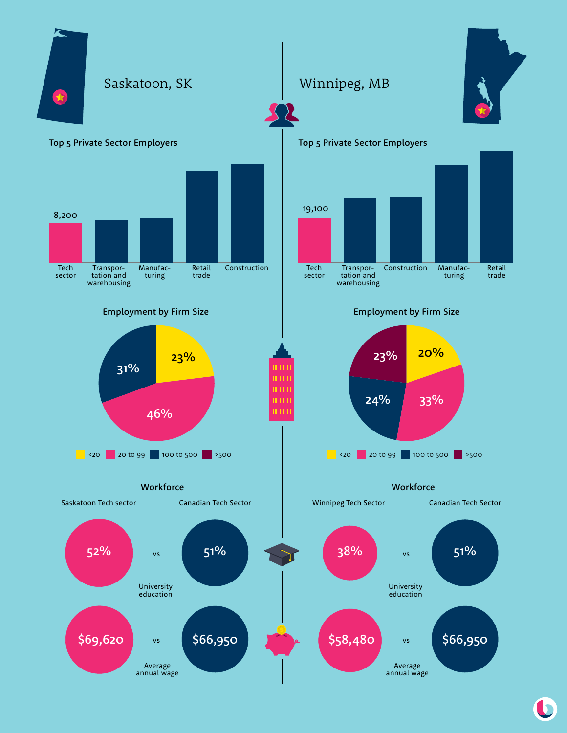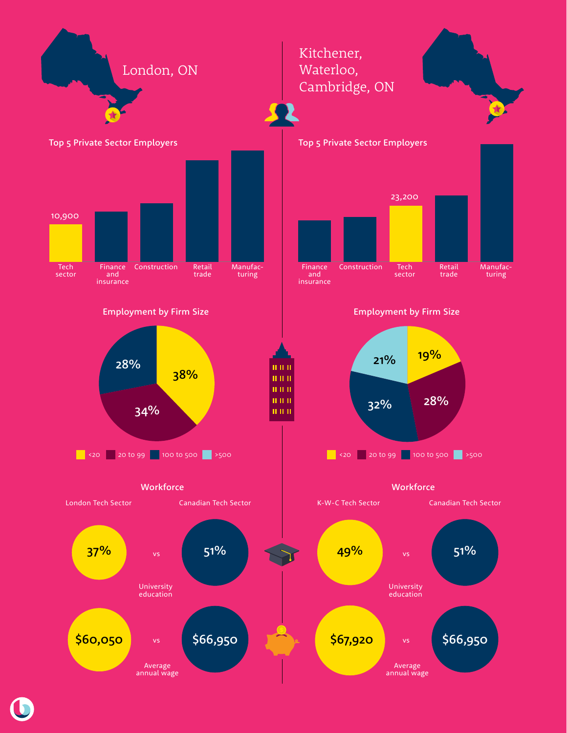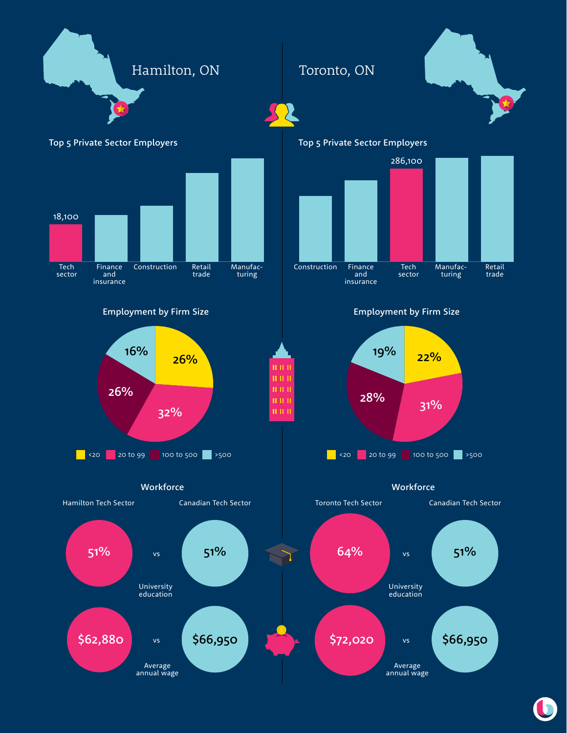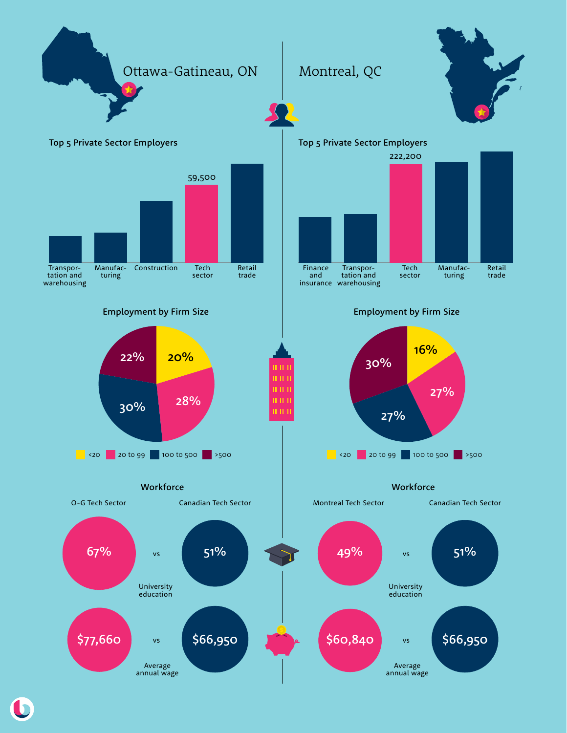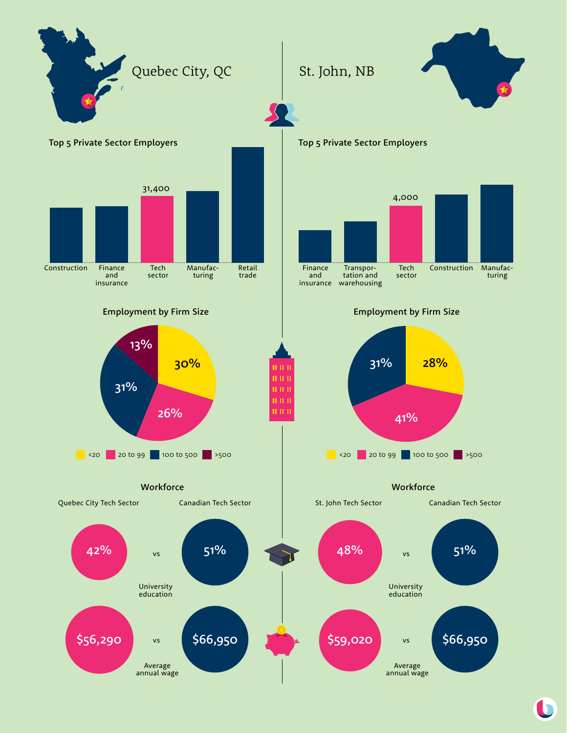